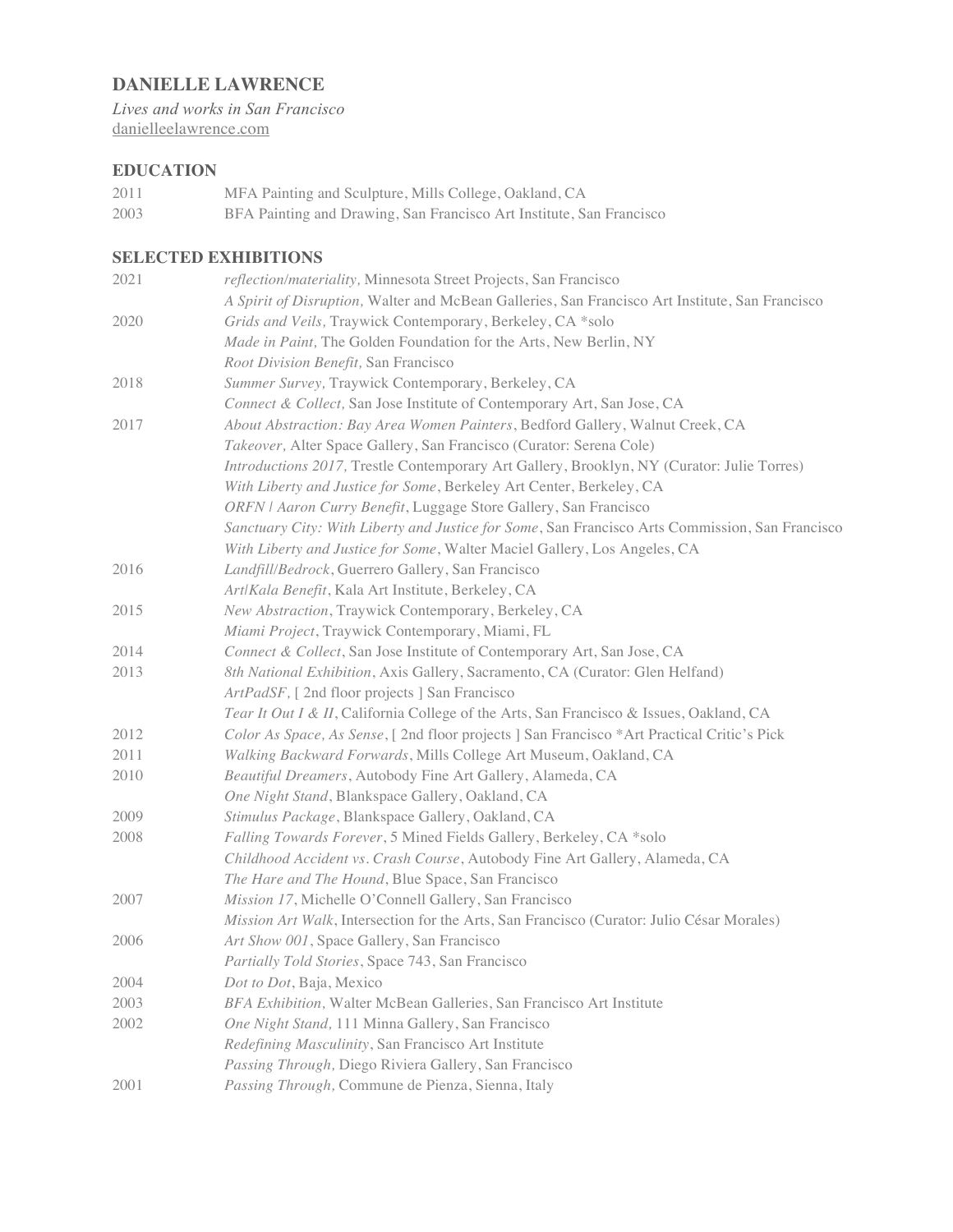# **DANIELLE LAWRENCE**

*Lives and works in San Francisco* danielleelawrence.com

## **EDUCATION**

2011 MFA Painting and Sculpture, Mills College, Oakland, CA 2003 BFA Painting and Drawing, San Francisco Art Institute, San Francisco

## **SELECTED EXHIBITIONS**

| 2021 | reflection/materiality, Minnesota Street Projects, San Francisco                                |
|------|-------------------------------------------------------------------------------------------------|
|      | A Spirit of Disruption, Walter and McBean Galleries, San Francisco Art Institute, San Francisco |
| 2020 | Grids and Veils, Traywick Contemporary, Berkeley, CA *solo                                      |
|      | Made in Paint, The Golden Foundation for the Arts, New Berlin, NY                               |
|      | Root Division Benefit, San Francisco                                                            |
| 2018 | Summer Survey, Traywick Contemporary, Berkeley, CA                                              |
|      | Connect & Collect, San Jose Institute of Contemporary Art, San Jose, CA                         |
| 2017 | About Abstraction: Bay Area Women Painters, Bedford Gallery, Walnut Creek, CA                   |
|      | Takeover, Alter Space Gallery, San Francisco (Curator: Serena Cole)                             |
|      | Introductions 2017, Trestle Contemporary Art Gallery, Brooklyn, NY (Curator: Julie Torres)      |
|      | With Liberty and Justice for Some, Berkeley Art Center, Berkeley, CA                            |
|      | ORFN   Aaron Curry Benefit, Luggage Store Gallery, San Francisco                                |
|      | Sanctuary City: With Liberty and Justice for Some, San Francisco Arts Commission, San Francisco |
|      | With Liberty and Justice for Some, Walter Maciel Gallery, Los Angeles, CA                       |
| 2016 | Landfill/Bedrock, Guerrero Gallery, San Francisco                                               |
|      | Art/Kala Benefit, Kala Art Institute, Berkeley, CA                                              |
| 2015 | New Abstraction, Traywick Contemporary, Berkeley, CA                                            |
|      | Miami Project, Traywick Contemporary, Miami, FL                                                 |
| 2014 | Connect & Collect, San Jose Institute of Contemporary Art, San Jose, CA                         |
| 2013 | 8th National Exhibition, Axis Gallery, Sacramento, CA (Curator: Glen Helfand)                   |
|      | ArtPadSF, [2nd floor projects] San Francisco                                                    |
|      | Tear It Out I & II, California College of the Arts, San Francisco & Issues, Oakland, CA         |
| 2012 | Color As Space, As Sense, [ 2nd floor projects ] San Francisco *Art Practical Critic's Pick     |
| 2011 | Walking Backward Forwards, Mills College Art Museum, Oakland, CA                                |
| 2010 | Beautiful Dreamers, Autobody Fine Art Gallery, Alameda, CA                                      |
|      | One Night Stand, Blankspace Gallery, Oakland, CA                                                |
| 2009 | Stimulus Package, Blankspace Gallery, Oakland, CA                                               |
| 2008 | Falling Towards Forever, 5 Mined Fields Gallery, Berkeley, CA *solo                             |
|      | Childhood Accident vs. Crash Course, Autobody Fine Art Gallery, Alameda, CA                     |
|      | The Hare and The Hound, Blue Space, San Francisco                                               |
| 2007 | Mission 17, Michelle O'Connell Gallery, San Francisco                                           |
|      | Mission Art Walk, Intersection for the Arts, San Francisco (Curator: Julio César Morales)       |
| 2006 | Art Show 001, Space Gallery, San Francisco                                                      |
|      | Partially Told Stories, Space 743, San Francisco                                                |
| 2004 | Dot to Dot, Baja, Mexico                                                                        |
| 2003 | BFA Exhibition, Walter McBean Galleries, San Francisco Art Institute                            |
| 2002 | One Night Stand, 111 Minna Gallery, San Francisco                                               |
|      | Redefining Masculinity, San Francisco Art Institute                                             |
|      | Passing Through, Diego Riviera Gallery, San Francisco                                           |
| 2001 | Passing Through, Commune de Pienza, Sienna, Italy                                               |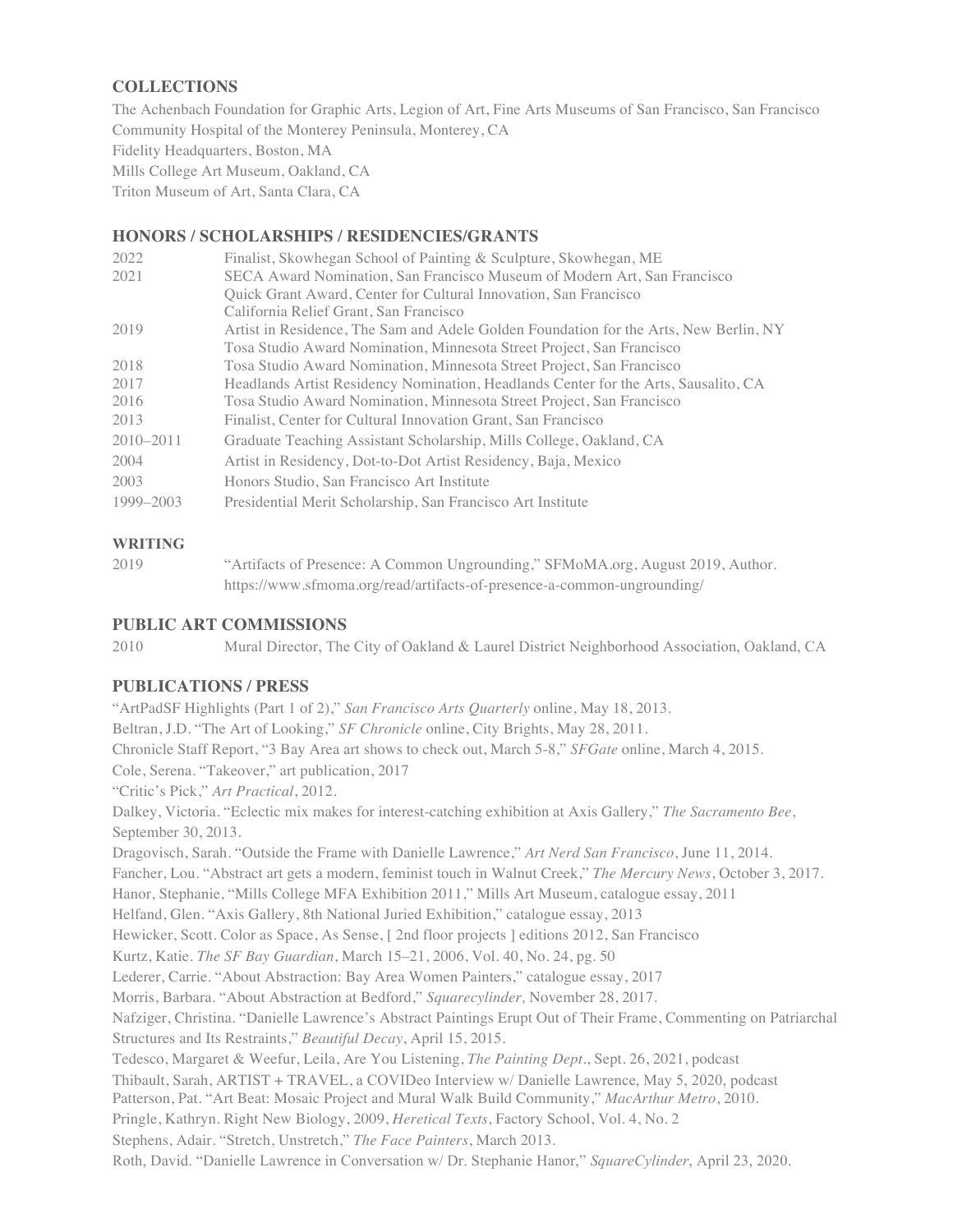## **COLLECTIONS**

The Achenbach Foundation for Graphic Arts, Legion of Art, Fine Arts Museums of San Francisco, San Francisco Community Hospital of the Monterey Peninsula, Monterey, CA Fidelity Headquarters, Boston, MA Mills College Art Museum, Oakland, CA Triton Museum of Art, Santa Clara, CA

## **HONORS / SCHOLARSHIPS / RESIDENCIES/GRANTS**

| 2022          | Finalist, Skowhegan School of Painting & Sculpture, Skowhegan, ME                     |
|---------------|---------------------------------------------------------------------------------------|
| 2021          | SECA Award Nomination, San Francisco Museum of Modern Art, San Francisco              |
|               | Quick Grant Award, Center for Cultural Innovation, San Francisco                      |
|               | California Relief Grant, San Francisco                                                |
| 2019          | Artist in Residence, The Sam and Adele Golden Foundation for the Arts, New Berlin, NY |
|               | Tosa Studio Award Nomination, Minnesota Street Project, San Francisco                 |
| 2018          | Tosa Studio Award Nomination, Minnesota Street Project, San Francisco                 |
| 2017          | Headlands Artist Residency Nomination, Headlands Center for the Arts, Sausalito, CA   |
| 2016          | Tosa Studio Award Nomination, Minnesota Street Project, San Francisco                 |
| 2013          | Finalist, Center for Cultural Innovation Grant, San Francisco                         |
| $2010 - 2011$ | Graduate Teaching Assistant Scholarship, Mills College, Oakland, CA                   |
| 2004          | Artist in Residency, Dot-to-Dot Artist Residency, Baja, Mexico                        |
| 2003          | Honors Studio, San Francisco Art Institute                                            |
| 1999-2003     | Presidential Merit Scholarship, San Francisco Art Institute                           |

#### **WRITING**

2019 "Artifacts of Presence: A Common Ungrounding," SFMoMA.org, August 2019, Author. https://www.sfmoma.org/read/artifacts-of-presence-a-common-ungrounding/

### **PUBLIC ART COMMISSIONS**

2010 Mural Director, The City of Oakland & Laurel District Neighborhood Association, Oakland, CA

#### **PUBLICATIONS / PRESS**

"ArtPadSF Highlights (Part 1 of 2)," *San Francisco Arts Quarterly* online, May 18, 2013. Beltran, J.D. "The Art of Looking," *SF Chronicle* online, City Brights, May 28, 2011. Chronicle Staff Report, "3 Bay Area art shows to check out, March 5-8," *SFGate* online, March 4, 2015. Cole, Serena. "Takeover," art publication, 2017 "Critic's Pick," *Art Practical*, 2012. Dalkey, Victoria. "Eclectic mix makes for interest-catching exhibition at Axis Gallery," *The Sacramento Bee*, September 30, 2013. Dragovisch, Sarah. "Outside the Frame with Danielle Lawrence," *Art Nerd San Francisco*, June 11, 2014. Fancher, Lou. "Abstract art gets a modern, feminist touch in Walnut Creek," *The Mercury News*, October 3, 2017. Hanor, Stephanie, "Mills College MFA Exhibition 2011," Mills Art Museum, catalogue essay, 2011 Helfand, Glen. "Axis Gallery, 8th National Juried Exhibition," catalogue essay, 2013 Hewicker, Scott. Color as Space, As Sense, [ 2nd floor projects ] editions 2012, San Francisco Kurtz, Katie. *The SF Bay Guardian*, March 15–21, 2006, Vol. 40, No. 24, pg. 50 Lederer, Carrie. "About Abstraction: Bay Area Women Painters," catalogue essay, 2017 Morris, Barbara. "About Abstraction at Bedford," *Squarecylinder,* November 28, 2017. Nafziger, Christina. "Danielle Lawrence's Abstract Paintings Erupt Out of Their Frame, Commenting on Patriarchal Structures and Its Restraints," *Beautiful Decay*, April 15, 2015. Tedesco, Margaret & Weefur, Leila, Are You Listening, *The Painting Dept.*, Sept. 26, 2021, podcast Thibault, Sarah, ARTIST + TRAVEL, a COVIDeo Interview w/ Danielle Lawrence, May 5, 2020, podcast Patterson, Pat. "Art Beat: Mosaic Project and Mural Walk Build Community," *MacArthur Metro*, 2010. Pringle, Kathryn. Right New Biology, 2009, *Heretical Texts*, Factory School, Vol. 4, No. 2 Stephens, Adair. "Stretch, Unstretch," *The Face Painters*, March 2013. Roth, David. "Danielle Lawrence in Conversation w/ Dr. Stephanie Hanor," *SquareCylinder*, April 23, 2020.